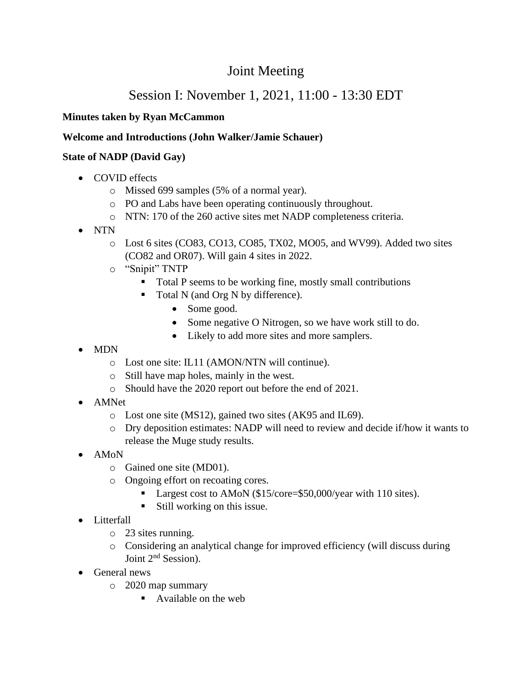# Joint Meeting

# Session I: November 1, 2021, 11:00 - 13:30 EDT

## **Minutes taken by Ryan McCammon**

#### **Welcome and Introductions (John Walker/Jamie Schauer)**

#### **State of NADP (David Gay)**

- COVID effects
	- o Missed 699 samples (5% of a normal year).
	- o PO and Labs have been operating continuously throughout.
	- o NTN: 170 of the 260 active sites met NADP completeness criteria.
- NTN
	- o Lost 6 sites (CO83, CO13, CO85, TX02, MO05, and WV99). Added two sites (CO82 and OR07). Will gain 4 sites in 2022.
	- o "Snipit" TNTP
		- Total P seems to be working fine, mostly small contributions
		- Total N (and Org N by difference).
			- Some good.
			- Some negative O Nitrogen, so we have work still to do.
			- Likely to add more sites and more samplers.
- MDN
	- o Lost one site: IL11 (AMON/NTN will continue).
	- o Still have map holes, mainly in the west.
	- o Should have the 2020 report out before the end of 2021.
- AMNet
	- o Lost one site (MS12), gained two sites (AK95 and IL69).
	- o Dry deposition estimates: NADP will need to review and decide if/how it wants to release the Muge study results.
- AMoN
	- o Gained one site (MD01).
	- o Ongoing effort on recoating cores.
		- Largest cost to AMoN (\$15/core=\$50,000/year with 110 sites).
		- Still working on this issue.
- Litterfall
	- o 23 sites running.
	- o Considering an analytical change for improved efficiency (will discuss during Joint 2<sup>nd</sup> Session).
- General news
	- o 2020 map summary
		- Available on the web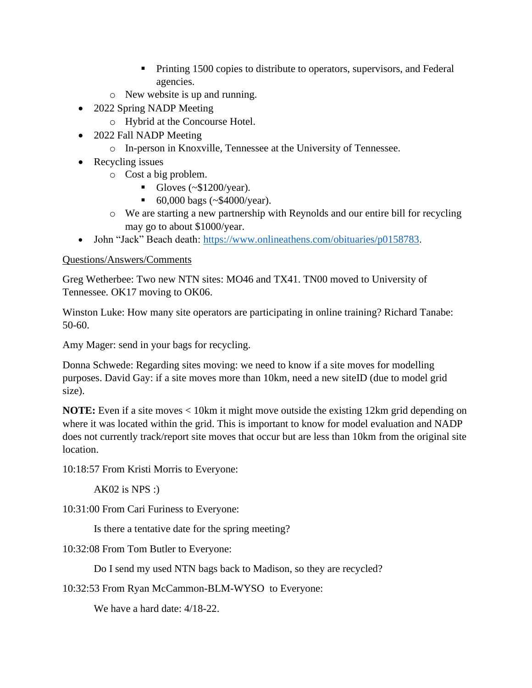- **•** Printing 1500 copies to distribute to operators, supervisors, and Federal agencies.
- o New website is up and running.
- 2022 Spring NADP Meeting
	- o Hybrid at the Concourse Hotel.
- 2022 Fall NADP Meeting
	- o In-person in Knoxville, Tennessee at the University of Tennessee.
- Recycling issues
	- o Cost a big problem.
		- $\blacksquare$  Gloves (~\$1200/year).
		- 60,000 bags (~\$4000/year).
	- o We are starting a new partnership with Reynolds and our entire bill for recycling may go to about \$1000/year.
- John "Jack" Beach death:<https://www.onlineathens.com/obituaries/p0158783>.

Greg Wetherbee: Two new NTN sites: MO46 and TX41. TN00 moved to University of Tennessee. OK17 moving to OK06.

Winston Luke: How many site operators are participating in online training? Richard Tanabe: 50-60.

Amy Mager: send in your bags for recycling.

Donna Schwede: Regarding sites moving: we need to know if a site moves for modelling purposes. David Gay: if a site moves more than 10km, need a new siteID (due to model grid size).

**NOTE:** Even if a site moves < 10km it might move outside the existing 12km grid depending on where it was located within the grid. This is important to know for model evaluation and NADP does not currently track/report site moves that occur but are less than 10km from the original site location.

10:18:57 From Kristi Morris to Everyone:

 $AK02$  is NPS :)

10:31:00 From Cari Furiness to Everyone:

Is there a tentative date for the spring meeting?

10:32:08 From Tom Butler to Everyone:

Do I send my used NTN bags back to Madison, so they are recycled?

10:32:53 From Ryan McCammon-BLM-WYSO to Everyone:

We have a hard date: 4/18-22.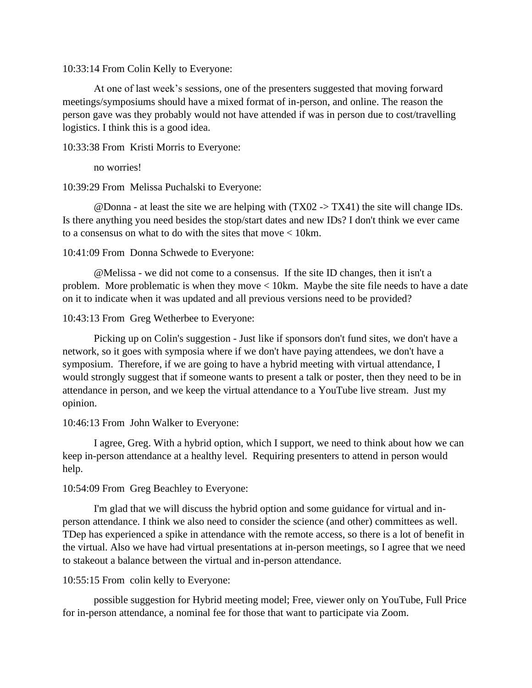10:33:14 From Colin Kelly to Everyone:

At one of last week's sessions, one of the presenters suggested that moving forward meetings/symposiums should have a mixed format of in-person, and online. The reason the person gave was they probably would not have attended if was in person due to cost/travelling logistics. I think this is a good idea.

10:33:38 From Kristi Morris to Everyone:

no worries!

10:39:29 From Melissa Puchalski to Everyone:

 $\omega$ Donna - at least the site we are helping with (TX02 -> TX41) the site will change IDs. Is there anything you need besides the stop/start dates and new IDs? I don't think we ever came to a consensus on what to do with the sites that move < 10km.

10:41:09 From Donna Schwede to Everyone:

@Melissa - we did not come to a consensus. If the site ID changes, then it isn't a problem. More problematic is when they move < 10km. Maybe the site file needs to have a date on it to indicate when it was updated and all previous versions need to be provided?

10:43:13 From Greg Wetherbee to Everyone:

Picking up on Colin's suggestion - Just like if sponsors don't fund sites, we don't have a network, so it goes with symposia where if we don't have paying attendees, we don't have a symposium. Therefore, if we are going to have a hybrid meeting with virtual attendance, I would strongly suggest that if someone wants to present a talk or poster, then they need to be in attendance in person, and we keep the virtual attendance to a YouTube live stream. Just my opinion.

10:46:13 From John Walker to Everyone:

I agree, Greg. With a hybrid option, which I support, we need to think about how we can keep in-person attendance at a healthy level. Requiring presenters to attend in person would help.

10:54:09 From Greg Beachley to Everyone:

I'm glad that we will discuss the hybrid option and some guidance for virtual and inperson attendance. I think we also need to consider the science (and other) committees as well. TDep has experienced a spike in attendance with the remote access, so there is a lot of benefit in the virtual. Also we have had virtual presentations at in-person meetings, so I agree that we need to stakeout a balance between the virtual and in-person attendance.

10:55:15 From colin kelly to Everyone:

possible suggestion for Hybrid meeting model; Free, viewer only on YouTube, Full Price for in-person attendance, a nominal fee for those that want to participate via Zoom.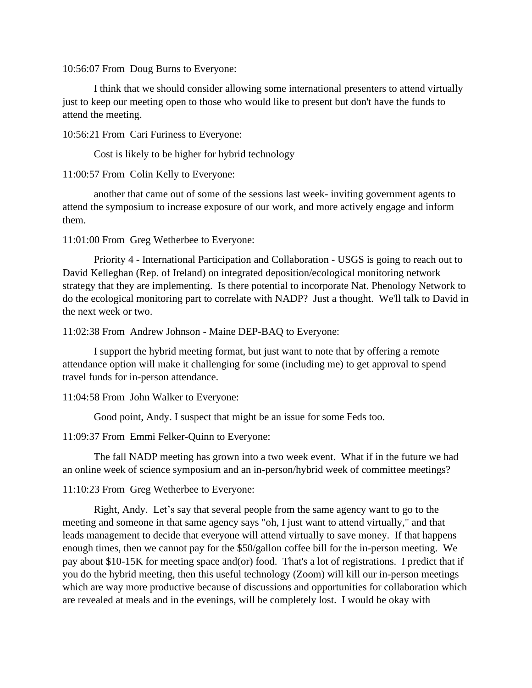10:56:07 From Doug Burns to Everyone:

I think that we should consider allowing some international presenters to attend virtually just to keep our meeting open to those who would like to present but don't have the funds to attend the meeting.

10:56:21 From Cari Furiness to Everyone:

Cost is likely to be higher for hybrid technology

11:00:57 From Colin Kelly to Everyone:

another that came out of some of the sessions last week- inviting government agents to attend the symposium to increase exposure of our work, and more actively engage and inform them.

11:01:00 From Greg Wetherbee to Everyone:

Priority 4 - International Participation and Collaboration - USGS is going to reach out to David Kelleghan (Rep. of Ireland) on integrated deposition/ecological monitoring network strategy that they are implementing. Is there potential to incorporate Nat. Phenology Network to do the ecological monitoring part to correlate with NADP? Just a thought. We'll talk to David in the next week or two.

11:02:38 From Andrew Johnson - Maine DEP-BAQ to Everyone:

I support the hybrid meeting format, but just want to note that by offering a remote attendance option will make it challenging for some (including me) to get approval to spend travel funds for in-person attendance.

11:04:58 From John Walker to Everyone:

Good point, Andy. I suspect that might be an issue for some Feds too.

11:09:37 From Emmi Felker-Quinn to Everyone:

The fall NADP meeting has grown into a two week event. What if in the future we had an online week of science symposium and an in-person/hybrid week of committee meetings?

11:10:23 From Greg Wetherbee to Everyone:

Right, Andy. Let's say that several people from the same agency want to go to the meeting and someone in that same agency says "oh, I just want to attend virtually," and that leads management to decide that everyone will attend virtually to save money. If that happens enough times, then we cannot pay for the \$50/gallon coffee bill for the in-person meeting. We pay about \$10-15K for meeting space and(or) food. That's a lot of registrations. I predict that if you do the hybrid meeting, then this useful technology (Zoom) will kill our in-person meetings which are way more productive because of discussions and opportunities for collaboration which are revealed at meals and in the evenings, will be completely lost. I would be okay with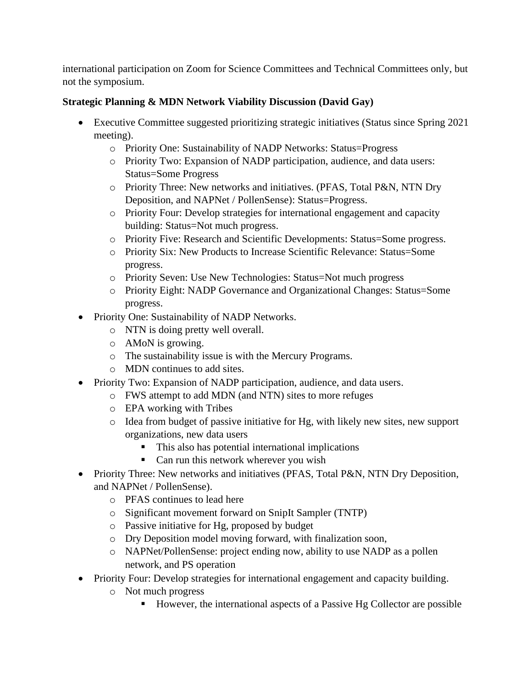international participation on Zoom for Science Committees and Technical Committees only, but not the symposium.

# **Strategic Planning & MDN Network Viability Discussion (David Gay)**

- Executive Committee suggested prioritizing strategic initiatives (Status since Spring 2021 meeting).
	- o Priority One: Sustainability of NADP Networks: Status=Progress
	- o Priority Two: Expansion of NADP participation, audience, and data users: Status=Some Progress
	- o Priority Three: New networks and initiatives. (PFAS, Total P&N, NTN Dry Deposition, and NAPNet / PollenSense): Status=Progress.
	- o Priority Four: Develop strategies for international engagement and capacity building: Status=Not much progress.
	- o Priority Five: Research and Scientific Developments: Status=Some progress.
	- o Priority Six: New Products to Increase Scientific Relevance: Status=Some progress.
	- o Priority Seven: Use New Technologies: Status=Not much progress
	- o Priority Eight: NADP Governance and Organizational Changes: Status=Some progress.
- Priority One: Sustainability of NADP Networks.
	- o NTN is doing pretty well overall.
	- o AMoN is growing.
	- o The sustainability issue is with the Mercury Programs.
	- o MDN continues to add sites.
- Priority Two: Expansion of NADP participation, audience, and data users.
	- o FWS attempt to add MDN (and NTN) sites to more refuges
	- o EPA working with Tribes
	- o Idea from budget of passive initiative for Hg, with likely new sites, new support organizations, new data users
		- This also has potential international implications
		- Can run this network wherever you wish
- Priority Three: New networks and initiatives (PFAS, Total P&N, NTN Dry Deposition, and NAPNet / PollenSense).
	- o PFAS continues to lead here
	- o Significant movement forward on SnipIt Sampler (TNTP)
	- o Passive initiative for Hg, proposed by budget
	- o Dry Deposition model moving forward, with finalization soon,
	- o NAPNet/PollenSense: project ending now, ability to use NADP as a pollen network, and PS operation
- Priority Four: Develop strategies for international engagement and capacity building.
	- o Not much progress
		- However, the international aspects of a Passive Hg Collector are possible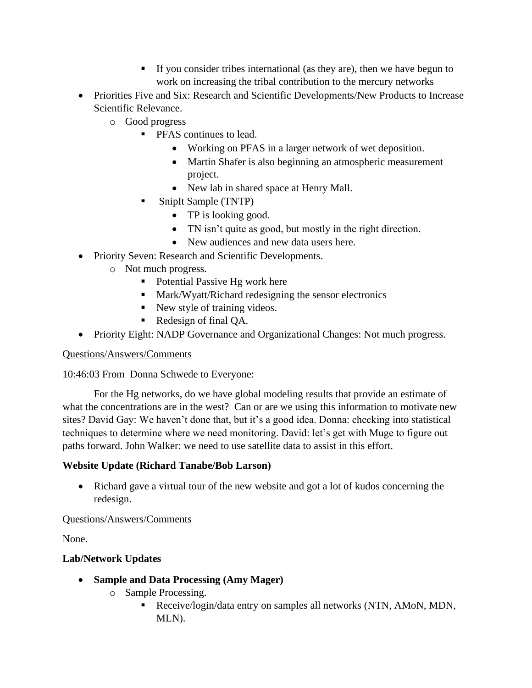- If you consider tribes international (as they are), then we have begun to work on increasing the tribal contribution to the mercury networks
- Priorities Five and Six: Research and Scientific Developments/New Products to Increase Scientific Relevance.
	- o Good progress
		- **PFAS continues to lead.** 
			- Working on PFAS in a larger network of wet deposition.
			- Martin Shafer is also beginning an atmospheric measurement project.
			- New lab in shared space at Henry Mall.
		- SnipIt Sample (TNTP)
			- TP is looking good.
			- TN isn't quite as good, but mostly in the right direction.
			- New audiences and new data users here.
- Priority Seven: Research and Scientific Developments.
	- o Not much progress.
		- Potential Passive Hg work here
		- Mark/Wyatt/Richard redesigning the sensor electronics
		- New style of training videos.
		- Redesign of final OA.
- Priority Eight: NADP Governance and Organizational Changes: Not much progress.

10:46:03 From Donna Schwede to Everyone:

For the Hg networks, do we have global modeling results that provide an estimate of what the concentrations are in the west? Can or are we using this information to motivate new sites? David Gay: We haven't done that, but it's a good idea. Donna: checking into statistical techniques to determine where we need monitoring. David: let's get with Muge to figure out paths forward. John Walker: we need to use satellite data to assist in this effort.

#### **Website Update (Richard Tanabe/Bob Larson)**

• Richard gave a virtual tour of the new website and got a lot of kudos concerning the redesign.

#### Questions/Answers/Comments

None.

#### **Lab/Network Updates**

- **Sample and Data Processing (Amy Mager)**
	- o Sample Processing.
		- Receive/login/data entry on samples all networks (NTN, AMoN, MDN, MLN).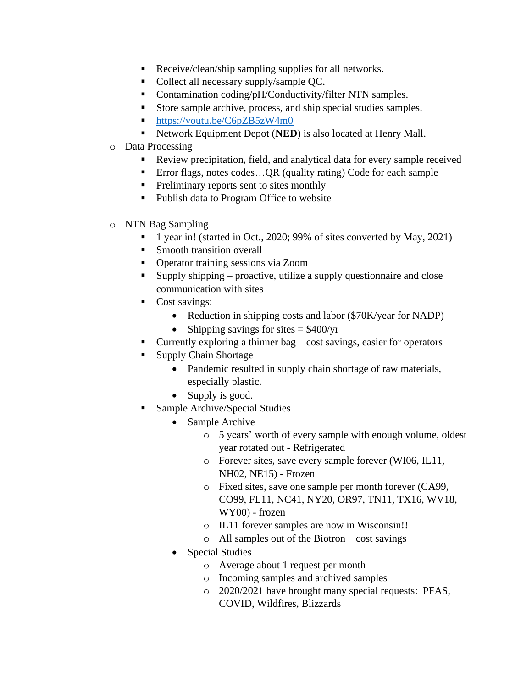- Receive/clean/ship sampling supplies for all networks.
- Collect all necessary supply/sample QC.
- Contamination coding/pH/Conductivity/filter NTN samples.
- Store sample archive, process, and ship special studies samples.
- [https://youtu.be/C6pZB5zW4m0](about:blank)
- Network Equipment Depot (**NED**) is also located at Henry Mall.
- o Data Processing
	- Review precipitation, field, and analytical data for every sample received
	- Error flags, notes codes... QR (quality rating) Code for each sample
	- **•** Preliminary reports sent to sites monthly
	- Publish data to Program Office to website
- o NTN Bag Sampling
	- 1 year in! (started in Oct., 2020; 99% of sites converted by May, 2021)
	- **Smooth transition overall**
	- Operator training sessions via Zoom
	- Supply shipping proactive, utilize a supply questionnaire and close communication with sites
	- Cost savings:
		- Reduction in shipping costs and labor (\$70K/year for NADP)
		- Shipping savings for sites  $=$  \$400/yr
	- Currently exploring a thinner bag  $-\cos t$  savings, easier for operators
	- **Supply Chain Shortage** 
		- Pandemic resulted in supply chain shortage of raw materials, especially plastic.
		- Supply is good.
	- Sample Archive/Special Studies
		- Sample Archive
			- o 5 years' worth of every sample with enough volume, oldest year rotated out - Refrigerated
			- o Forever sites, save every sample forever (WI06, IL11, NH02, NE15) - Frozen
			- o Fixed sites, save one sample per month forever (CA99, CO99, FL11, NC41, NY20, OR97, TN11, TX16, WV18, WY00) - frozen
			- o IL11 forever samples are now in Wisconsin!!
			- o All samples out of the Biotron cost savings
		- Special Studies
			- o Average about 1 request per month
			- o Incoming samples and archived samples
			- o 2020/2021 have brought many special requests: PFAS, COVID, Wildfires, Blizzards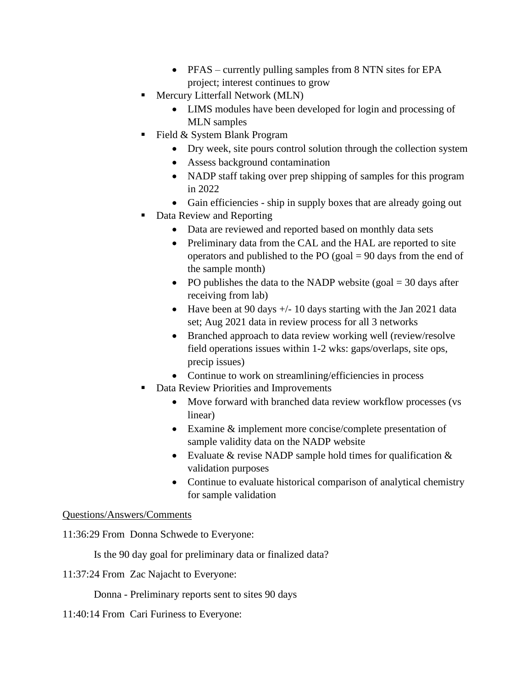- PFAS currently pulling samples from 8 NTN sites for EPA project; interest continues to grow
- Mercury Litterfall Network (MLN)
	- LIMS modules have been developed for login and processing of MLN samples
- Field & System Blank Program
	- Dry week, site pours control solution through the collection system
	- Assess background contamination
	- NADP staff taking over prep shipping of samples for this program in 2022
	- Gain efficiencies ship in supply boxes that are already going out
- Data Review and Reporting
	- Data are reviewed and reported based on monthly data sets
	- Preliminary data from the CAL and the HAL are reported to site operators and published to the PO (goal  $= 90$  days from the end of the sample month)
	- PO publishes the data to the NADP website (goal  $=$  30 days after receiving from lab)
	- Have been at 90 days  $+/- 10$  days starting with the Jan 2021 data set; Aug 2021 data in review process for all 3 networks
	- Branched approach to data review working well (review/resolve) field operations issues within 1-2 wks: gaps/overlaps, site ops, precip issues)
	- Continue to work on streamlining/efficiencies in process
- **Data Review Priorities and Improvements** 
	- Move forward with branched data review workflow processes (vs linear)
	- Examine & implement more concise/complete presentation of sample validity data on the NADP website
	- Evaluate  $&$  revise NADP sample hold times for qualification  $&$ validation purposes
	- Continue to evaluate historical comparison of analytical chemistry for sample validation

11:36:29 From Donna Schwede to Everyone:

Is the 90 day goal for preliminary data or finalized data?

11:37:24 From Zac Najacht to Everyone:

Donna - Preliminary reports sent to sites 90 days

11:40:14 From Cari Furiness to Everyone: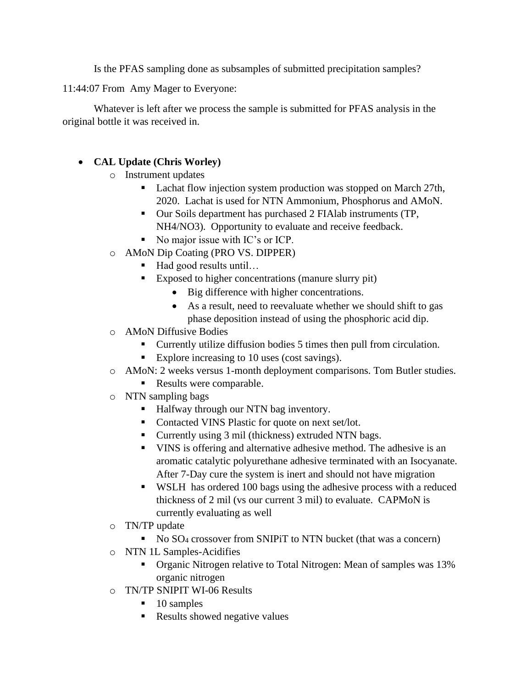Is the PFAS sampling done as subsamples of submitted precipitation samples?

11:44:07 From Amy Mager to Everyone:

Whatever is left after we process the sample is submitted for PFAS analysis in the original bottle it was received in.

# • **CAL Update (Chris Worley)**

- o Instrument updates
	- Lachat flow injection system production was stopped on March 27th, 2020. Lachat is used for NTN Ammonium, Phosphorus and AMoN.
	- Our Soils department has purchased 2 FIAlab instruments (TP, NH4/NO3). Opportunity to evaluate and receive feedback.
	- No major issue with IC's or ICP.
- o AMoN Dip Coating (PRO VS. DIPPER)
	- Had good results until…
	- Exposed to higher concentrations (manure slurry pit)
		- Big difference with higher concentrations.
		- As a result, need to reevaluate whether we should shift to gas phase deposition instead of using the phosphoric acid dip.
- o AMoN Diffusive Bodies
	- Currently utilize diffusion bodies 5 times then pull from circulation.
	- Explore increasing to 10 uses (cost savings).
- o AMoN: 2 weeks versus 1-month deployment comparisons. Tom Butler studies.
	- Results were comparable.
- o NTN sampling bags
	- Halfway through our NTN bag inventory.
	- Contacted VINS Plastic for quote on next set/lot.
	- Currently using 3 mil (thickness) extruded NTN bags.
	- VINS is offering and alternative adhesive method. The adhesive is an aromatic catalytic polyurethane adhesive terminated with an Isocyanate. After 7-Day cure the system is inert and should not have migration
	- WSLH has ordered 100 bags using the adhesive process with a reduced thickness of 2 mil (vs our current 3 mil) to evaluate. CAPMoN is currently evaluating as well
- o TN/TP update
	- No SO<sub>4</sub> crossover from SNIPiT to NTN bucket (that was a concern)
- o NTN 1L Samples-Acidifies
	- **•** Organic Nitrogen relative to Total Nitrogen: Mean of samples was 13% organic nitrogen
- o TN/TP SNIPIT WI-06 Results
	- 10 samples
	- Results showed negative values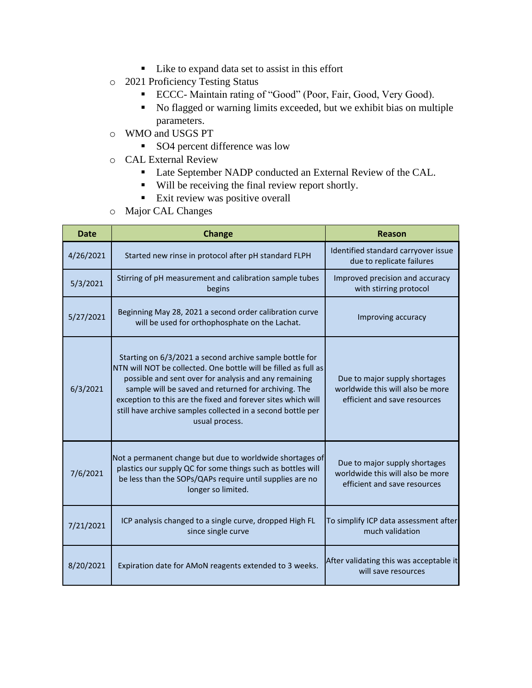- Like to expand data set to assist in this effort
- o 2021 Proficiency Testing Status
	- ECCC- Maintain rating of "Good" (Poor, Fair, Good, Very Good).
	- No flagged or warning limits exceeded, but we exhibit bias on multiple parameters.
- o WMO and USGS PT
	- SO4 percent difference was low
- o CAL External Review
	- Late September NADP conducted an External Review of the CAL.
	- Will be receiving the final review report shortly.
	- **Exit review was positive overall**
- o Major CAL Changes

| <b>Date</b> | <b>Change</b>                                                                                                                                                                                                                                                                                                                                                                                | Reason                                                                                            |
|-------------|----------------------------------------------------------------------------------------------------------------------------------------------------------------------------------------------------------------------------------------------------------------------------------------------------------------------------------------------------------------------------------------------|---------------------------------------------------------------------------------------------------|
| 4/26/2021   | Started new rinse in protocol after pH standard FLPH                                                                                                                                                                                                                                                                                                                                         | Identified standard carryover issue<br>due to replicate failures                                  |
| 5/3/2021    | Stirring of pH measurement and calibration sample tubes<br>begins                                                                                                                                                                                                                                                                                                                            | Improved precision and accuracy<br>with stirring protocol                                         |
| 5/27/2021   | Beginning May 28, 2021 a second order calibration curve<br>will be used for orthophosphate on the Lachat.                                                                                                                                                                                                                                                                                    | Improving accuracy                                                                                |
| 6/3/2021    | Starting on 6/3/2021 a second archive sample bottle for<br>NTN will NOT be collected. One bottle will be filled as full as<br>possible and sent over for analysis and any remaining<br>sample will be saved and returned for archiving. The<br>exception to this are the fixed and forever sites which will<br>still have archive samples collected in a second bottle per<br>usual process. | Due to major supply shortages<br>worldwide this will also be more<br>efficient and save resources |
| 7/6/2021    | Not a permanent change but due to worldwide shortages of<br>plastics our supply QC for some things such as bottles will<br>be less than the SOPs/QAPs require until supplies are no<br>longer so limited.                                                                                                                                                                                    | Due to major supply shortages<br>worldwide this will also be more<br>efficient and save resources |
| 7/21/2021   | ICP analysis changed to a single curve, dropped High FL<br>since single curve                                                                                                                                                                                                                                                                                                                | To simplify ICP data assessment after<br>much validation                                          |
| 8/20/2021   | Expiration date for AMoN reagents extended to 3 weeks.                                                                                                                                                                                                                                                                                                                                       | After validating this was acceptable it<br>will save resources                                    |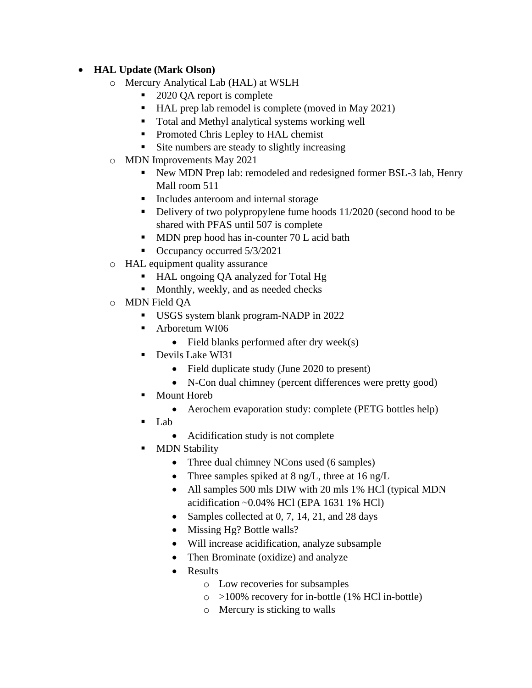# • **HAL Update (Mark Olson)**

- o Mercury Analytical Lab (HAL) at WSLH
	- 2020 QA report is complete
	- HAL prep lab remodel is complete (moved in May 2021)
	- Total and Methyl analytical systems working well
	- Promoted Chris Lepley to HAL chemist
	- Site numbers are steady to slightly increasing
- o MDN Improvements May 2021
	- New MDN Prep lab: remodeled and redesigned former BSL-3 lab, Henry Mall room 511
	- Includes anteroom and internal storage
	- Delivery of two polypropylene fume hoods 11/2020 (second hood to be shared with PFAS until 507 is complete
	- MDN prep hood has in-counter 70 L acid bath
	- Occupancy occurred 5/3/2021
- o HAL equipment quality assurance
	- HAL ongoing QA analyzed for Total Hg
	- Monthly, weekly, and as needed checks
- o MDN Field QA
	- USGS system blank program-NADP in 2022
	- Arboretum WI06
		- Field blanks performed after dry week(s)
	- Devils Lake WI31
		- Field duplicate study (June 2020 to present)
		- N-Con dual chimney (percent differences were pretty good)
	- **Mount Horeb** 
		- Aerochem evaporation study: complete (PETG bottles help)
	- Lab
		- Acidification study is not complete
	- **MDN Stability** 
		- Three dual chimney NCons used (6 samples)
		- Three samples spiked at 8 ng/L, three at 16 ng/L
		- All samples 500 mls DIW with 20 mls 1% HCl (typical MDN acidification ~0.04% HCl (EPA 1631 1% HCl)
		- Samples collected at 0, 7, 14, 21, and 28 days
		- Missing Hg? Bottle walls?
		- Will increase acidification, analyze subsample
		- Then Brominate (oxidize) and analyze
		- Results
			- o Low recoveries for subsamples
			- $\circ$  >100% recovery for in-bottle (1% HCl in-bottle)
			- o Mercury is sticking to walls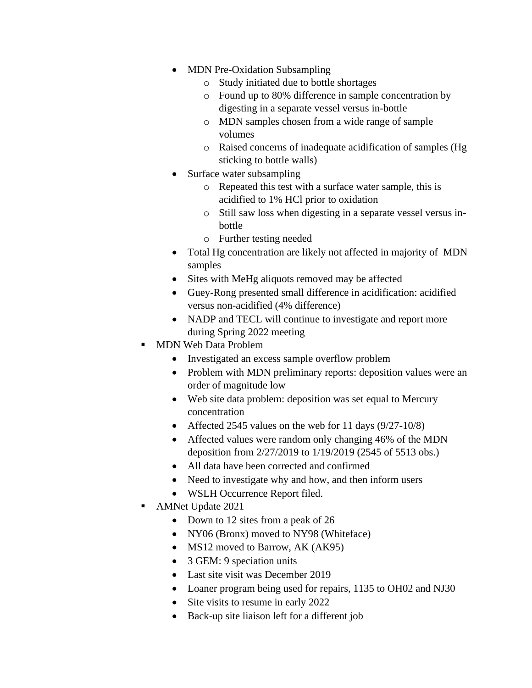- MDN Pre-Oxidation Subsampling
	- o Study initiated due to bottle shortages
	- o Found up to 80% difference in sample concentration by digesting in a separate vessel versus in-bottle
	- o MDN samples chosen from a wide range of sample volumes
	- o Raised concerns of inadequate acidification of samples (Hg sticking to bottle walls)
- Surface water subsampling
	- o Repeated this test with a surface water sample, this is acidified to 1% HCl prior to oxidation
	- o Still saw loss when digesting in a separate vessel versus inbottle
	- o Further testing needed
- Total Hg concentration are likely not affected in majority of MDN samples
- Sites with MeHg aliquots removed may be affected
- Guey-Rong presented small difference in acidification: acidified versus non-acidified (4% difference)
- NADP and TECL will continue to investigate and report more during Spring 2022 meeting
- MDN Web Data Problem
	- Investigated an excess sample overflow problem
	- Problem with MDN preliminary reports: deposition values were an order of magnitude low
	- Web site data problem: deposition was set equal to Mercury concentration
	- Affected 2545 values on the web for 11 days  $(9/27-10/8)$
	- Affected values were random only changing 46% of the MDN deposition from 2/27/2019 to 1/19/2019 (2545 of 5513 obs.)
	- All data have been corrected and confirmed
	- Need to investigate why and how, and then inform users
	- WSLH Occurrence Report filed.
- AMNet Update 2021
	- Down to 12 sites from a peak of 26
	- NY06 (Bronx) moved to NY98 (Whiteface)
	- MS12 moved to Barrow, AK (AK95)
	- 3 GEM: 9 speciation units
	- Last site visit was December 2019
	- Loaner program being used for repairs, 1135 to OH02 and NJ30
	- Site visits to resume in early 2022
	- Back-up site liaison left for a different job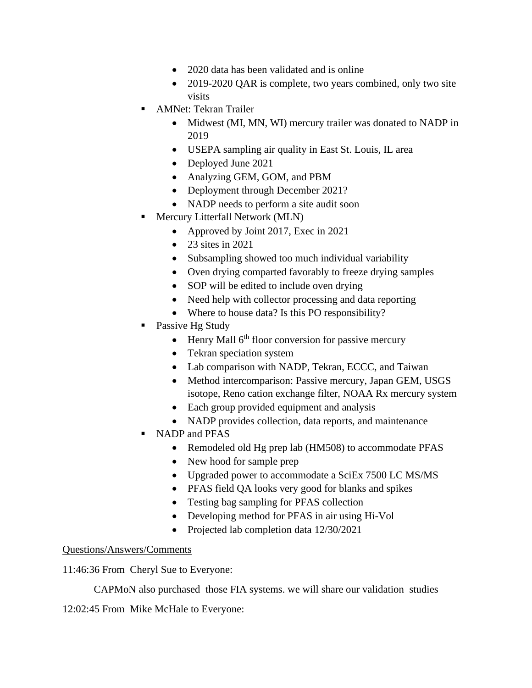- 2020 data has been validated and is online
- 2019-2020 QAR is complete, two years combined, only two site visits
- **AMNet: Tekran Trailer** 
	- Midwest (MI, MN, WI) mercury trailer was donated to NADP in 2019
	- USEPA sampling air quality in East St. Louis, IL area
	- Deployed June 2021
	- Analyzing GEM, GOM, and PBM
	- Deployment through December 2021?
	- NADP needs to perform a site audit soon
- Mercury Litterfall Network (MLN)
	- Approved by Joint 2017, Exec in 2021
	- 23 sites in 2021
	- Subsampling showed too much individual variability
	- Oven drying comparted favorably to freeze drying samples
	- SOP will be edited to include oven drying
	- Need help with collector processing and data reporting
	- Where to house data? Is this PO responsibility?
- Passive Hg Study
	- Henry Mall  $6<sup>th</sup>$  floor conversion for passive mercury
	- Tekran speciation system
	- Lab comparison with NADP, Tekran, ECCC, and Taiwan
	- Method intercomparison: Passive mercury, Japan GEM, USGS isotope, Reno cation exchange filter, NOAA Rx mercury system
	- Each group provided equipment and analysis
	- NADP provides collection, data reports, and maintenance
- NADP and PFAS
	- Remodeled old Hg prep lab (HM508) to accommodate PFAS
	- New hood for sample prep
	- Upgraded power to accommodate a SciEx 7500 LC MS/MS
	- PFAS field QA looks very good for blanks and spikes
	- Testing bag sampling for PFAS collection
	- Developing method for PFAS in air using Hi-Vol
	- Projected lab completion data  $12/30/2021$

11:46:36 From Cheryl Sue to Everyone:

CAPMoN also purchased those FIA systems. we will share our validation studies

12:02:45 From Mike McHale to Everyone: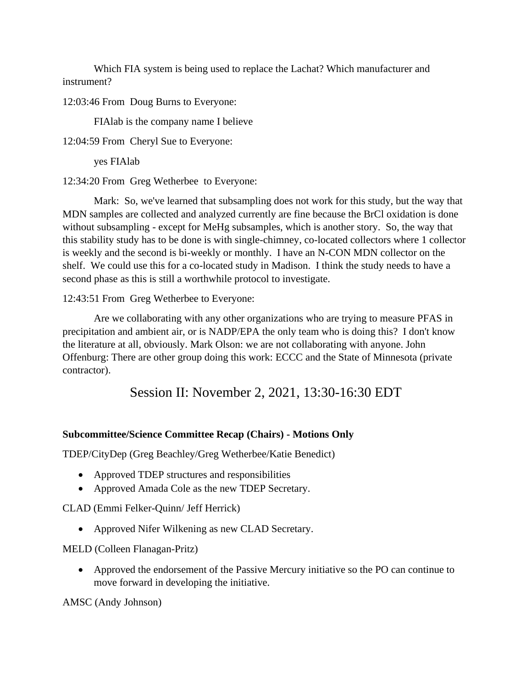Which FIA system is being used to replace the Lachat? Which manufacturer and instrument?

12:03:46 From Doug Burns to Everyone:

FIAlab is the company name I believe

12:04:59 From Cheryl Sue to Everyone:

yes FIAlab

12:34:20 From Greg Wetherbee to Everyone:

Mark: So, we've learned that subsampling does not work for this study, but the way that MDN samples are collected and analyzed currently are fine because the BrCl oxidation is done without subsampling - except for MeHg subsamples, which is another story. So, the way that this stability study has to be done is with single-chimney, co-located collectors where 1 collector is weekly and the second is bi-weekly or monthly. I have an N-CON MDN collector on the shelf. We could use this for a co-located study in Madison. I think the study needs to have a second phase as this is still a worthwhile protocol to investigate.

12:43:51 From Greg Wetherbee to Everyone:

Are we collaborating with any other organizations who are trying to measure PFAS in precipitation and ambient air, or is NADP/EPA the only team who is doing this? I don't know the literature at all, obviously. Mark Olson: we are not collaborating with anyone. John Offenburg: There are other group doing this work: ECCC and the State of Minnesota (private contractor).

Session II: November 2, 2021, 13:30-16:30 EDT

#### **Subcommittee/Science Committee Recap (Chairs) - Motions Only**

TDEP/CityDep (Greg Beachley/Greg Wetherbee/Katie Benedict)

- Approved TDEP structures and responsibilities
- Approved Amada Cole as the new TDEP Secretary.

CLAD (Emmi Felker-Quinn/ Jeff Herrick)

• Approved Nifer Wilkening as new CLAD Secretary.

MELD (Colleen Flanagan-Pritz)

• Approved the endorsement of the Passive Mercury initiative so the PO can continue to move forward in developing the initiative.

AMSC (Andy Johnson)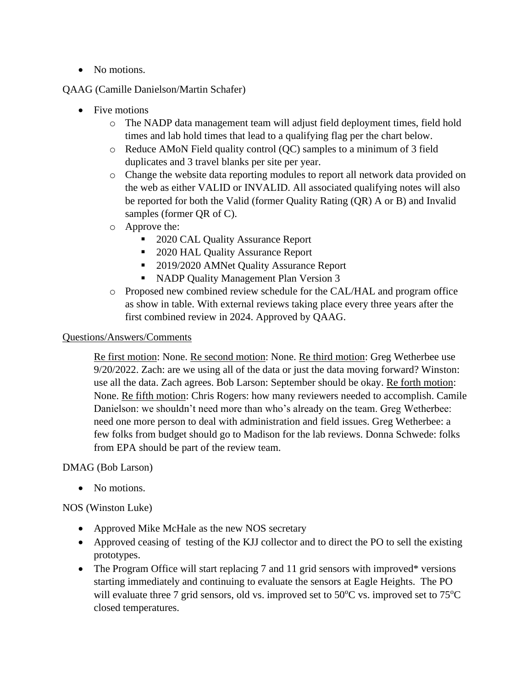• No motions.

#### QAAG (Camille Danielson/Martin Schafer)

- Five motions
	- o The NADP data management team will adjust field deployment times, field hold times and lab hold times that lead to a qualifying flag per the chart below.
	- o Reduce AMoN Field quality control (QC) samples to a minimum of 3 field duplicates and 3 travel blanks per site per year.
	- o Change the website data reporting modules to report all network data provided on the web as either VALID or INVALID. All associated qualifying notes will also be reported for both the Valid (former Quality Rating (QR) A or B) and Invalid samples (former QR of C).
	- o Approve the:
		- 2020 CAL Quality Assurance Report
		- 2020 HAL Quality Assurance Report
		- 2019/2020 AMNet Quality Assurance Report
		- NADP Quality Management Plan Version 3
	- o Proposed new combined review schedule for the CAL/HAL and program office as show in table. With external reviews taking place every three years after the first combined review in 2024. Approved by QAAG.

## Questions/Answers/Comments

Re first motion: None. Re second motion: None. Re third motion: Greg Wetherbee use 9/20/2022. Zach: are we using all of the data or just the data moving forward? Winston: use all the data. Zach agrees. Bob Larson: September should be okay. Re forth motion: None. Re fifth motion: Chris Rogers: how many reviewers needed to accomplish. Camile Danielson: we shouldn't need more than who's already on the team. Greg Wetherbee: need one more person to deal with administration and field issues. Greg Wetherbee: a few folks from budget should go to Madison for the lab reviews. Donna Schwede: folks from EPA should be part of the review team.

#### DMAG (Bob Larson)

• No motions.

#### NOS (Winston Luke)

- Approved Mike McHale as the new NOS secretary
- Approved ceasing of testing of the KJJ collector and to direct the PO to sell the existing prototypes.
- The Program Office will start replacing 7 and 11 grid sensors with improved\* versions starting immediately and continuing to evaluate the sensors at Eagle Heights. The PO will evaluate three 7 grid sensors, old vs. improved set to  $50^{\circ}$ C vs. improved set to  $75^{\circ}$ C closed temperatures.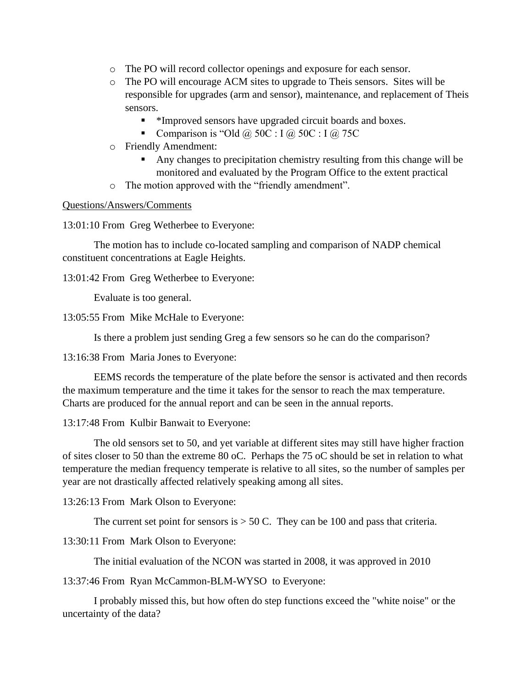- o The PO will record collector openings and exposure for each sensor.
- o The PO will encourage ACM sites to upgrade to Theis sensors. Sites will be responsible for upgrades (arm and sensor), maintenance, and replacement of Theis sensors.
	- \*Improved sensors have upgraded circuit boards and boxes.
	- **•** Comparison is "Old  $\omega$  50C : I  $\omega$  50C : I  $\omega$  75C
- o Friendly Amendment:
	- Any changes to precipitation chemistry resulting from this change will be monitored and evaluated by the Program Office to the extent practical
- o The motion approved with the "friendly amendment".

13:01:10 From Greg Wetherbee to Everyone:

The motion has to include co-located sampling and comparison of NADP chemical constituent concentrations at Eagle Heights.

13:01:42 From Greg Wetherbee to Everyone:

Evaluate is too general.

13:05:55 From Mike McHale to Everyone:

Is there a problem just sending Greg a few sensors so he can do the comparison?

13:16:38 From Maria Jones to Everyone:

EEMS records the temperature of the plate before the sensor is activated and then records the maximum temperature and the time it takes for the sensor to reach the max temperature. Charts are produced for the annual report and can be seen in the annual reports.

13:17:48 From Kulbir Banwait to Everyone:

The old sensors set to 50, and yet variable at different sites may still have higher fraction of sites closer to 50 than the extreme 80 oC. Perhaps the 75 oC should be set in relation to what temperature the median frequency temperate is relative to all sites, so the number of samples per year are not drastically affected relatively speaking among all sites.

13:26:13 From Mark Olson to Everyone:

The current set point for sensors is  $> 50$  C. They can be 100 and pass that criteria.

13:30:11 From Mark Olson to Everyone:

The initial evaluation of the NCON was started in 2008, it was approved in 2010

13:37:46 From Ryan McCammon-BLM-WYSO to Everyone:

I probably missed this, but how often do step functions exceed the "white noise" or the uncertainty of the data?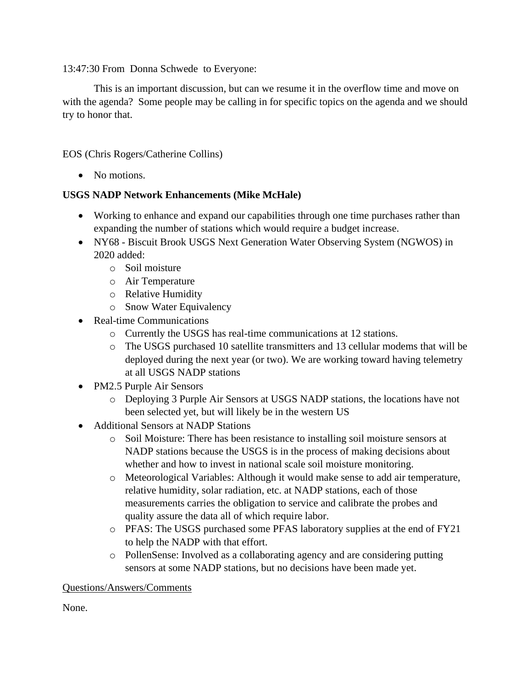13:47:30 From Donna Schwede to Everyone:

This is an important discussion, but can we resume it in the overflow time and move on with the agenda? Some people may be calling in for specific topics on the agenda and we should try to honor that.

EOS (Chris Rogers/Catherine Collins)

• No motions.

#### **USGS NADP Network Enhancements (Mike McHale)**

- Working to enhance and expand our capabilities through one time purchases rather than expanding the number of stations which would require a budget increase.
- NY68 Biscuit Brook USGS Next Generation Water Observing System (NGWOS) in 2020 added:
	- o Soil moisture
	- o Air Temperature
	- o Relative Humidity
	- o Snow Water Equivalency
- Real-time Communications
	- o Currently the USGS has real-time communications at 12 stations.
	- o The USGS purchased 10 satellite transmitters and 13 cellular modems that will be deployed during the next year (or two). We are working toward having telemetry at all USGS NADP stations
- PM2.5 Purple Air Sensors
	- o Deploying 3 Purple Air Sensors at USGS NADP stations, the locations have not been selected yet, but will likely be in the western US
- Additional Sensors at NADP Stations
	- o Soil Moisture: There has been resistance to installing soil moisture sensors at NADP stations because the USGS is in the process of making decisions about whether and how to invest in national scale soil moisture monitoring.
	- o Meteorological Variables: Although it would make sense to add air temperature, relative humidity, solar radiation, etc. at NADP stations, each of those measurements carries the obligation to service and calibrate the probes and quality assure the data all of which require labor.
	- o PFAS: The USGS purchased some PFAS laboratory supplies at the end of FY21 to help the NADP with that effort.
	- o PollenSense: Involved as a collaborating agency and are considering putting sensors at some NADP stations, but no decisions have been made yet.

#### Questions/Answers/Comments

None.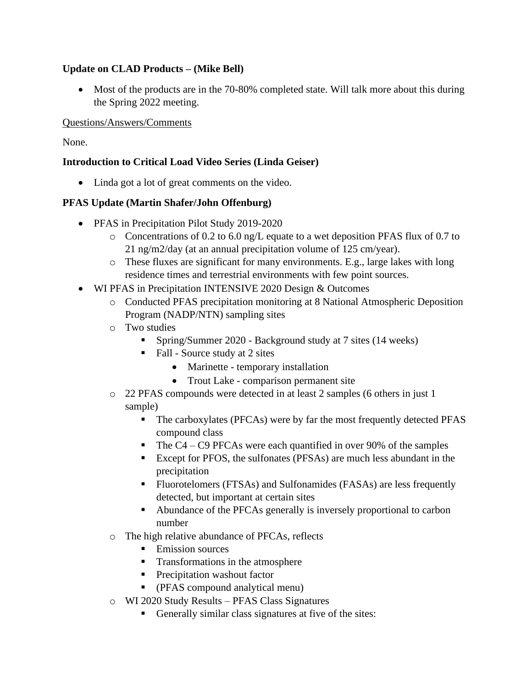# **Update on CLAD Products – (Mike Bell)**

• Most of the products are in the 70-80% completed state. Will talk more about this during the Spring 2022 meeting.

#### Questions/Answers/Comments

None.

# **Introduction to Critical Load Video Series (Linda Geiser)**

• Linda got a lot of great comments on the video.

## **PFAS Update (Martin Shafer/John Offenburg)**

- PFAS in Precipitation Pilot Study 2019-2020
	- o Concentrations of 0.2 to 6.0 ng/L equate to a wet deposition PFAS flux of 0.7 to 21 ng/m2/day (at an annual precipitation volume of 125 cm/year).
	- $\circ$  These fluxes are significant for many environments. E.g., large lakes with long residence times and terrestrial environments with few point sources.
- WI PFAS in Precipitation INTENSIVE 2020 Design & Outcomes
	- o Conducted PFAS precipitation monitoring at 8 National Atmospheric Deposition Program (NADP/NTN) sampling sites
	- o Two studies
		- Spring/Summer 2020 Background study at 7 sites (14 weeks)
		- Fall Source study at 2 sites
			- Marinette temporary installation
			- Trout Lake comparison permanent site
	- $\circ$  22 PFAS compounds were detected in at least 2 samples (6 others in just 1) sample)
		- The carboxylates (PFCAs) were by far the most frequently detected PFAS compound class
		- $\blacksquare$  The C4 C9 PFCAs were each quantified in over 90% of the samples
		- Except for PFOS, the sulfonates (PFSAs) are much less abundant in the precipitation
		- Fluorotelomers (FTSAs) and Sulfonamides (FASAs) are less frequently detected, but important at certain sites
		- Abundance of the PFCAs generally is inversely proportional to carbon number
	- o The high relative abundance of PFCAs, reflects
		- Emission sources
		- Transformations in the atmosphere
		- Precipitation washout factor
		- (PFAS compound analytical menu)
	- o WI 2020 Study Results PFAS Class Signatures
		- Generally similar class signatures at five of the sites: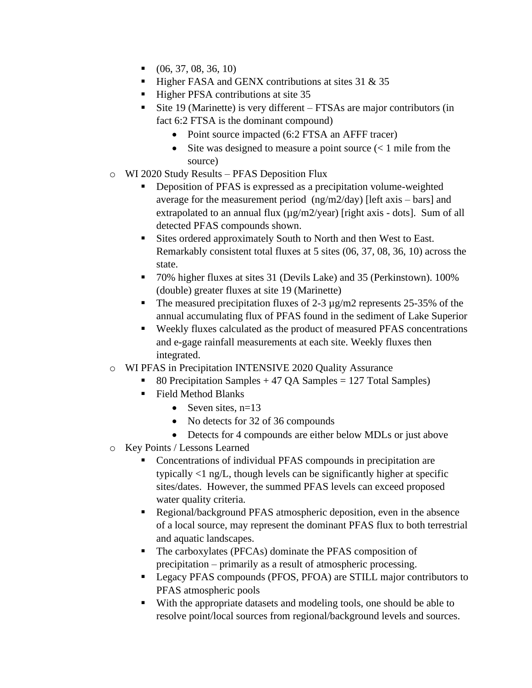- $\bullet$  (06, 37, 08, 36, 10)
- **.** Higher FASA and GENX contributions at sites  $31 \& 35$
- Higher PFSA contributions at site 35
- Site 19 (Marinette) is very different FTSAs are major contributors (in fact 6:2 FTSA is the dominant compound)
	- Point source impacted (6:2 FTSA an AFFF tracer)
	- Site was designed to measure a point source  $(< 1$  mile from the source)
- o WI 2020 Study Results PFAS Deposition Flux
	- **•** Deposition of PFAS is expressed as a precipitation volume-weighted average for the measurement period (ng/m2/day) [left axis – bars] and extrapolated to an annual flux  $(\mu g/m2/year)$  [right axis - dots]. Sum of all detected PFAS compounds shown.
	- Sites ordered approximately South to North and then West to East. Remarkably consistent total fluxes at 5 sites (06, 37, 08, 36, 10) across the state.
	- 70% higher fluxes at sites 31 (Devils Lake) and 35 (Perkinstown). 100% (double) greater fluxes at site 19 (Marinette)
	- **•** The measured precipitation fluxes of 2-3  $\mu$ g/m2 represents 25-35% of the annual accumulating flux of PFAS found in the sediment of Lake Superior
	- Weekly fluxes calculated as the product of measured PFAS concentrations and e-gage rainfall measurements at each site. Weekly fluxes then integrated.
- o WI PFAS in Precipitation INTENSIVE 2020 Quality Assurance
	- 80 Precipitation Samples  $+ 47$  QA Samples  $= 127$  Total Samples)
	- Field Method Blanks
		- Seven sites,  $n=13$
		- No detects for 32 of 36 compounds
		- Detects for 4 compounds are either below MDLs or just above
- o Key Points / Lessons Learned
	- Concentrations of individual PFAS compounds in precipitation are typically <1 ng/L, though levels can be significantly higher at specific sites/dates. However, the summed PFAS levels can exceed proposed water quality criteria.
	- Regional/background PFAS atmospheric deposition, even in the absence of a local source, may represent the dominant PFAS flux to both terrestrial and aquatic landscapes.
	- The carboxylates (PFCAs) dominate the PFAS composition of precipitation – primarily as a result of atmospheric processing.
	- Legacy PFAS compounds (PFOS, PFOA) are STILL major contributors to PFAS atmospheric pools
	- With the appropriate datasets and modeling tools, one should be able to resolve point/local sources from regional/background levels and sources.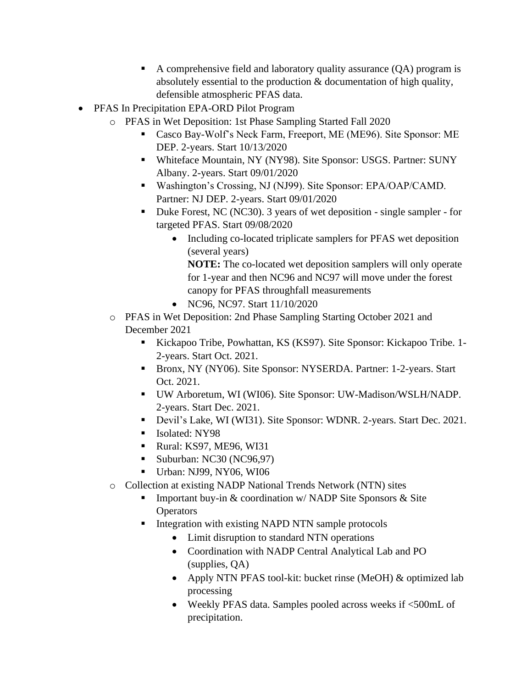- A comprehensive field and laboratory quality assurance (QA) program is absolutely essential to the production & documentation of high quality, defensible atmospheric PFAS data.
- PFAS In Precipitation EPA-ORD Pilot Program
	- o PFAS in Wet Deposition: 1st Phase Sampling Started Fall 2020
		- Casco Bay-Wolf's Neck Farm, Freeport, ME (ME96). Site Sponsor: ME DEP. 2-years. Start 10/13/2020
		- Whiteface Mountain, NY (NY98). Site Sponsor: USGS. Partner: SUNY Albany. 2-years. Start 09/01/2020
		- Washington's Crossing, NJ (NJ99). Site Sponsor: EPA/OAP/CAMD. Partner: NJ DEP. 2-years. Start 09/01/2020
		- Duke Forest, NC (NC30). 3 years of wet deposition single sampler for targeted PFAS. Start 09/08/2020
			- Including co-located triplicate samplers for PFAS wet deposition (several years)

**NOTE:** The co-located wet deposition samplers will only operate for 1-year and then NC96 and NC97 will move under the forest canopy for PFAS throughfall measurements

- NC96, NC97. Start 11/10/2020
- o PFAS in Wet Deposition: 2nd Phase Sampling Starting October 2021 and December 2021
	- Kickapoo Tribe, Powhattan, KS (KS97). Site Sponsor: Kickapoo Tribe. 1- 2-years. Start Oct. 2021.
	- Bronx, NY (NY06). Site Sponsor: NYSERDA. Partner: 1-2-years. Start Oct. 2021.
	- UW Arboretum, WI (WI06). Site Sponsor: UW-Madison/WSLH/NADP. 2-years. Start Dec. 2021.
	- Devil's Lake, WI (WI31). Site Sponsor: WDNR. 2-years. Start Dec. 2021.
	- Isolated: NY98
	- Rural: KS97, ME96, WI31
	- Suburban: NC30 (NC96,97)
	- Urban: NJ99, NY06, WI06
- o Collection at existing NADP National Trends Network (NTN) sites
	- Important buy-in  $&$  coordination w/ NADP Site Sponsors  $&$  Site **Operators**
	- **EXECUTE:** Integration with existing NAPD NTN sample protocols
		- Limit disruption to standard NTN operations
		- Coordination with NADP Central Analytical Lab and PO (supplies, QA)
		- Apply NTN PFAS tool-kit: bucket rinse (MeOH) & optimized lab processing
		- Weekly PFAS data. Samples pooled across weeks if <500mL of precipitation.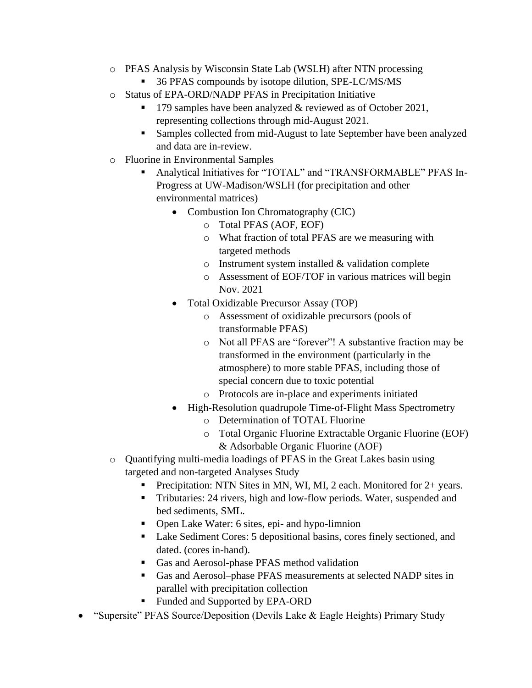- o PFAS Analysis by Wisconsin State Lab (WSLH) after NTN processing
	- 36 PFAS compounds by isotope dilution, SPE-LC/MS/MS
- o Status of EPA-ORD/NADP PFAS in Precipitation Initiative
	- 179 samples have been analyzed & reviewed as of October 2021, representing collections through mid-August 2021.
	- Samples collected from mid-August to late September have been analyzed and data are in-review.
- o Fluorine in Environmental Samples
	- Analytical Initiatives for "TOTAL" and "TRANSFORMABLE" PFAS In-Progress at UW-Madison/WSLH (for precipitation and other environmental matrices)
		- Combustion Ion Chromatography (CIC)
			- o Total PFAS (AOF, EOF)
			- o What fraction of total PFAS are we measuring with targeted methods
			- o Instrument system installed & validation complete
			- o Assessment of EOF/TOF in various matrices will begin Nov. 2021
		- Total Oxidizable Precursor Assay (TOP)
			- o Assessment of oxidizable precursors (pools of transformable PFAS)
			- o Not all PFAS are "forever"! A substantive fraction may be transformed in the environment (particularly in the atmosphere) to more stable PFAS, including those of special concern due to toxic potential
			- o Protocols are in-place and experiments initiated
		- High-Resolution quadrupole Time-of-Flight Mass Spectrometry
			- o Determination of TOTAL Fluorine
			- o Total Organic Fluorine Extractable Organic Fluorine (EOF) & Adsorbable Organic Fluorine (AOF)
- o Quantifying multi-media loadings of PFAS in the Great Lakes basin using targeted and non-targeted Analyses Study
	- Precipitation: NTN Sites in MN, WI, MI, 2 each. Monitored for 2+ years.
	- **Tributaries: 24 rivers, high and low-flow periods. Water, suspended and** bed sediments, SML.
	- Open Lake Water: 6 sites, epi- and hypo-limnion
	- Lake Sediment Cores: 5 depositional basins, cores finely sectioned, and dated. (cores in-hand).
	- Gas and Aerosol-phase PFAS method validation
	- Gas and Aerosol–phase PFAS measurements at selected NADP sites in parallel with precipitation collection
	- Funded and Supported by EPA-ORD
- "Supersite" PFAS Source/Deposition (Devils Lake & Eagle Heights) Primary Study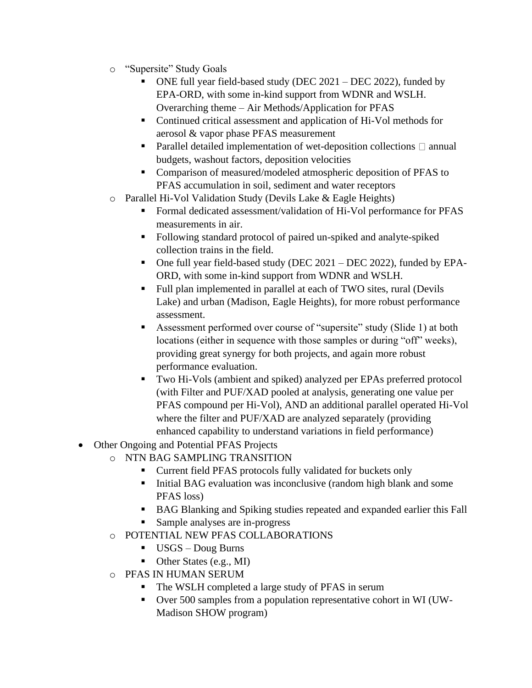- o "Supersite" Study Goals
	- ONE full year field-based study (DEC  $2021 DEC 2022$ ), funded by EPA-ORD, with some in-kind support from WDNR and WSLH. Overarching theme – Air Methods/Application for PFAS
	- Continued critical assessment and application of Hi-Vol methods for aerosol & vapor phase PFAS measurement
	- **•** Parallel detailed implementation of wet-deposition collections  $\Box$  annual budgets, washout factors, deposition velocities
	- Comparison of measured/modeled atmospheric deposition of PFAS to PFAS accumulation in soil, sediment and water receptors
- o Parallel Hi-Vol Validation Study (Devils Lake & Eagle Heights)
	- Formal dedicated assessment/validation of Hi-Vol performance for PFAS measurements in air.
	- Following standard protocol of paired un-spiked and analyte-spiked collection trains in the field.
	- One full year field-based study (DEC 2021 DEC 2022), funded by EPA-ORD, with some in-kind support from WDNR and WSLH.
	- Full plan implemented in parallel at each of TWO sites, rural (Devils Lake) and urban (Madison, Eagle Heights), for more robust performance assessment.
	- Assessment performed over course of "supersite" study (Slide 1) at both locations (either in sequence with those samples or during "off" weeks), providing great synergy for both projects, and again more robust performance evaluation.
	- Two Hi-Vols (ambient and spiked) analyzed per EPAs preferred protocol (with Filter and PUF/XAD pooled at analysis, generating one value per PFAS compound per Hi-Vol), AND an additional parallel operated Hi-Vol where the filter and PUF/XAD are analyzed separately (providing enhanced capability to understand variations in field performance)
- Other Ongoing and Potential PFAS Projects
	- o NTN BAG SAMPLING TRANSITION
		- Current field PFAS protocols fully validated for buckets only
		- Initial BAG evaluation was inconclusive (random high blank and some PFAS loss)
		- BAG Blanking and Spiking studies repeated and expanded earlier this Fall
		- Sample analyses are in-progress
	- o POTENTIAL NEW PFAS COLLABORATIONS
		- USGS Doug Burns
		- $\blacksquare$  Other States (e.g., MI)
	- o PFAS IN HUMAN SERUM
		- The WSLH completed a large study of PFAS in serum
		- Over 500 samples from a population representative cohort in WI (UW-Madison SHOW program)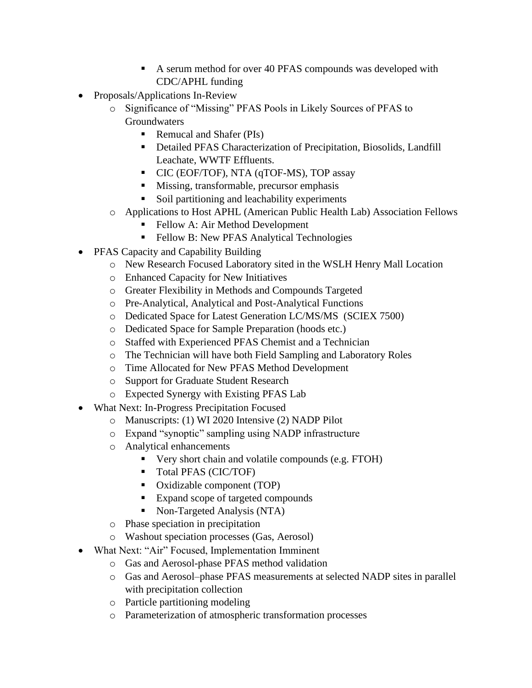- A serum method for over 40 PFAS compounds was developed with CDC/APHL funding
- Proposals/Applications In-Review
	- o Significance of "Missing" PFAS Pools in Likely Sources of PFAS to **Groundwaters** 
		- Remucal and Shafer (PIs)
		- **Detailed PFAS Characterization of Precipitation, Biosolids, Landfill** Leachate, WWTF Effluents.
		- CIC (EOF/TOF), NTA (qTOF-MS), TOP assay
		- Missing, transformable, precursor emphasis
		- Soil partitioning and leachability experiments
	- o Applications to Host APHL (American Public Health Lab) Association Fellows
		- Fellow A: Air Method Development
		- **Fellow B: New PFAS Analytical Technologies**
- PFAS Capacity and Capability Building
	- o New Research Focused Laboratory sited in the WSLH Henry Mall Location
	- o Enhanced Capacity for New Initiatives
	- o Greater Flexibility in Methods and Compounds Targeted
	- o Pre-Analytical, Analytical and Post-Analytical Functions
	- o Dedicated Space for Latest Generation LC/MS/MS (SCIEX 7500)
	- o Dedicated Space for Sample Preparation (hoods etc.)
	- o Staffed with Experienced PFAS Chemist and a Technician
	- o The Technician will have both Field Sampling and Laboratory Roles
	- o Time Allocated for New PFAS Method Development
	- o Support for Graduate Student Research
	- o Expected Synergy with Existing PFAS Lab
- What Next: In-Progress Precipitation Focused
	- o Manuscripts: (1) WI 2020 Intensive (2) NADP Pilot
	- o Expand "synoptic" sampling using NADP infrastructure
	- o Analytical enhancements
		- Very short chain and volatile compounds (e.g. FTOH)
		- Total PFAS (CIC/TOF)
		- Oxidizable component (TOP)
		- Expand scope of targeted compounds
		- Non-Targeted Analysis (NTA)
	- o Phase speciation in precipitation
	- o Washout speciation processes (Gas, Aerosol)
- What Next: "Air" Focused, Implementation Imminent
	- o Gas and Aerosol-phase PFAS method validation
	- o Gas and Aerosol–phase PFAS measurements at selected NADP sites in parallel with precipitation collection
	- o Particle partitioning modeling
	- o Parameterization of atmospheric transformation processes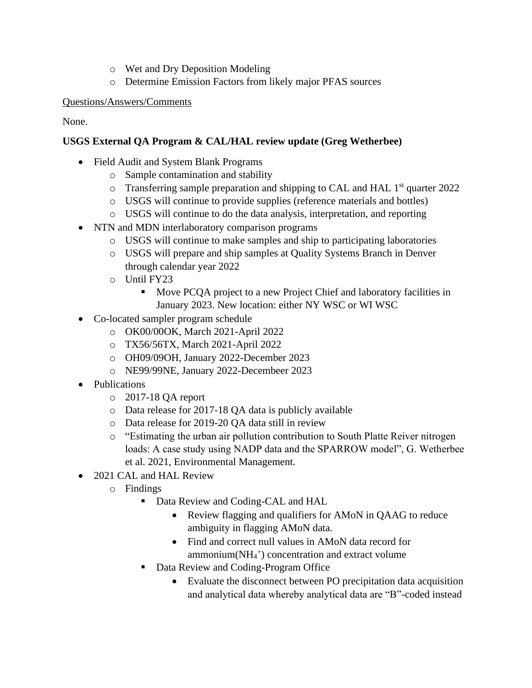- o Wet and Dry Deposition Modeling
- o Determine Emission Factors from likely major PFAS sources

None.

# **USGS External QA Program & CAL/HAL review update (Greg Wetherbee)**

- Field Audit and System Blank Programs
	- o Sample contamination and stability
	- $\circ$  Transferring sample preparation and shipping to CAL and HAL 1<sup>st</sup> quarter 2022
	- o USGS will continue to provide supplies (reference materials and bottles)
	- o USGS will continue to do the data analysis, interpretation, and reporting
- NTN and MDN interlaboratory comparison programs
	- o USGS will continue to make samples and ship to participating laboratories
	- o USGS will prepare and ship samples at Quality Systems Branch in Denver through calendar year 2022
	- o Until FY23
		- Move PCQA project to a new Project Chief and laboratory facilities in January 2023. New location: either NY WSC or WI WSC
- Co-located sampler program schedule
	- o OK00/00OK, March 2021-April 2022
	- o TX56/56TX, March 2021-April 2022
	- o OH09/09OH, January 2022-December 2023
	- o NE99/99NE, January 2022-Decembeer 2023
- Publications
	- o 2017-18 QA report
	- o Data release for 2017-18 QA data is publicly available
	- o Data release for 2019-20 QA data still in review
	- o "Estimating the urban air pollution contribution to South Platte Reiver nitrogen loads: A case study using NADP data and the SPARROW model", G. Wetherbee et al. 2021, Environmental Management.
- 2021 CAL and HAL Review
	- o Findings
		- Data Review and Coding-CAL and HAL
			- Review flagging and qualifiers for AMoN in QAAG to reduce ambiguity in flagging AMoN data.
			- Find and correct null values in AMoN data record for ammonium(NH<sup>4</sup> + ) concentration and extract volume
		- Data Review and Coding-Program Office
			- Evaluate the disconnect between PO precipitation data acquisition and analytical data whereby analytical data are "B"-coded instead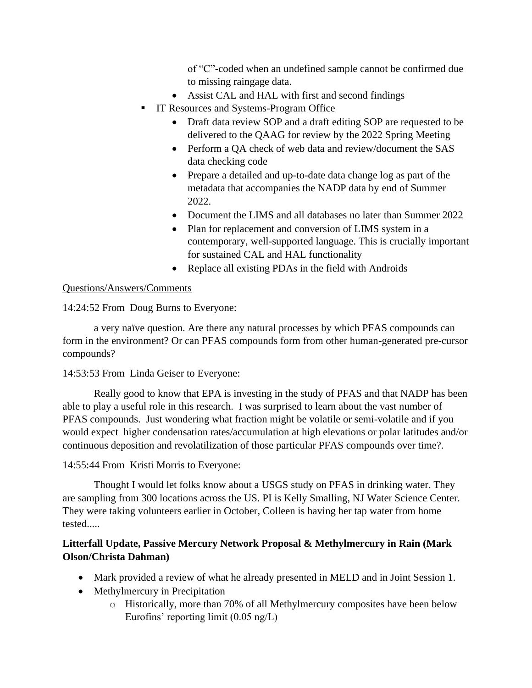of "C"-coded when an undefined sample cannot be confirmed due to missing raingage data.

- Assist CAL and HAL with first and second findings
- **IT Resources and Systems-Program Office** 
	- Draft data review SOP and a draft editing SOP are requested to be delivered to the QAAG for review by the 2022 Spring Meeting
	- Perform a OA check of web data and review/document the SAS data checking code
	- Prepare a detailed and up-to-date data change log as part of the metadata that accompanies the NADP data by end of Summer 2022.
	- Document the LIMS and all databases no later than Summer 2022
	- Plan for replacement and conversion of LIMS system in a contemporary, well-supported language. This is crucially important for sustained CAL and HAL functionality
	- Replace all existing PDAs in the field with Androids

#### Questions/Answers/Comments

14:24:52 From Doug Burns to Everyone:

a very naïve question. Are there any natural processes by which PFAS compounds can form in the environment? Or can PFAS compounds form from other human-generated pre-cursor compounds?

#### 14:53:53 From Linda Geiser to Everyone:

Really good to know that EPA is investing in the study of PFAS and that NADP has been able to play a useful role in this research. I was surprised to learn about the vast number of PFAS compounds. Just wondering what fraction might be volatile or semi-volatile and if you would expect higher condensation rates/accumulation at high elevations or polar latitudes and/or continuous deposition and revolatilization of those particular PFAS compounds over time?.

#### 14:55:44 From Kristi Morris to Everyone:

Thought I would let folks know about a USGS study on PFAS in drinking water. They are sampling from 300 locations across the US. PI is Kelly Smalling, NJ Water Science Center. They were taking volunteers earlier in October, Colleen is having her tap water from home tested.....

## **Litterfall Update, Passive Mercury Network Proposal & Methylmercury in Rain (Mark Olson/Christa Dahman)**

- Mark provided a review of what he already presented in MELD and in Joint Session 1.
- Methylmercury in Precipitation
	- o Historically, more than 70% of all Methylmercury composites have been below Eurofins' reporting limit (0.05 ng/L)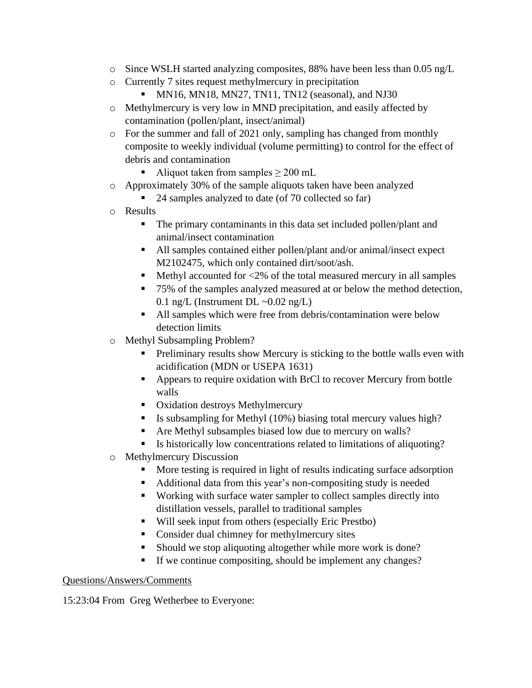- $\circ$  Since WSLH started analyzing composites, 88% have been less than 0.05 ng/L
- o Currently 7 sites request methylmercury in precipitation
	- $\blacksquare$  MN16, MN18, MN27, TN11, TN12 (seasonal), and NJ30
- o Methylmercury is very low in MND precipitation, and easily affected by contamination (pollen/plant, insect/animal)
- o For the summer and fall of 2021 only, sampling has changed from monthly composite to weekly individual (volume permitting) to control for the effect of debris and contamination
	- Aliquot taken from samples  $\geq 200$  mL
- o Approximately 30% of the sample aliquots taken have been analyzed
	- 24 samples analyzed to date (of 70 collected so far)
- o Results
	- The primary contaminants in this data set included pollen/plant and animal/insect contamination
	- All samples contained either pollen/plant and/or animal/insect expect M2102475, which only contained dirt/soot/ash.
	- $\blacksquare$  Methyl accounted for <2% of the total measured mercury in all samples
	- 75% of the samples analyzed measured at or below the method detection, 0.1 ng/L (Instrument DL  $\sim$ 0.02 ng/L)
	- All samples which were free from debris/contamination were below detection limits
- o Methyl Subsampling Problem?
	- **•** Preliminary results show Mercury is sticking to the bottle walls even with acidification (MDN or USEPA 1631)
	- Appears to require oxidation with BrCl to recover Mercury from bottle walls
	- Oxidation destroys Methylmercury
	- Is subsampling for Methyl (10%) biasing total mercury values high?
	- Are Methyl subsamples biased low due to mercury on walls?
	- Is historically low concentrations related to limitations of aliquoting?
- o Methylmercury Discussion
	- More testing is required in light of results indicating surface adsorption
	- Additional data from this year's non-compositing study is needed
	- Working with surface water sampler to collect samples directly into distillation vessels, parallel to traditional samples
	- Will seek input from others (especially Eric Prestbo)
	- Consider dual chimney for methylmercury sites
	- Should we stop aliquoting altogether while more work is done?
	- If we continue compositing, should be implement any changes?

15:23:04 From Greg Wetherbee to Everyone: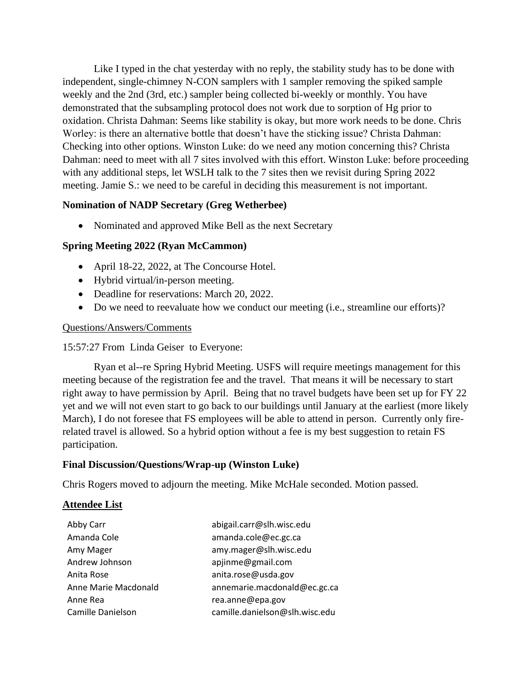Like I typed in the chat yesterday with no reply, the stability study has to be done with independent, single-chimney N-CON samplers with 1 sampler removing the spiked sample weekly and the 2nd (3rd, etc.) sampler being collected bi-weekly or monthly. You have demonstrated that the subsampling protocol does not work due to sorption of Hg prior to oxidation. Christa Dahman: Seems like stability is okay, but more work needs to be done. Chris Worley: is there an alternative bottle that doesn't have the sticking issue? Christa Dahman: Checking into other options. Winston Luke: do we need any motion concerning this? Christa Dahman: need to meet with all 7 sites involved with this effort. Winston Luke: before proceeding with any additional steps, let WSLH talk to the 7 sites then we revisit during Spring 2022 meeting. Jamie S.: we need to be careful in deciding this measurement is not important.

#### **Nomination of NADP Secretary (Greg Wetherbee)**

• Nominated and approved Mike Bell as the next Secretary

#### **Spring Meeting 2022 (Ryan McCammon)**

- April 18-22, 2022, at The Concourse Hotel.
- Hybrid virtual/in-person meeting.
- Deadline for reservations: March 20, 2022.
- Do we need to reevaluate how we conduct our meeting (i.e., streamline our efforts)?

#### Questions/Answers/Comments

#### 15:57:27 From Linda Geiser to Everyone:

Ryan et al--re Spring Hybrid Meeting. USFS will require meetings management for this meeting because of the registration fee and the travel. That means it will be necessary to start right away to have permission by April. Being that no travel budgets have been set up for FY 22 yet and we will not even start to go back to our buildings until January at the earliest (more likely March), I do not foresee that FS employees will be able to attend in person. Currently only firerelated travel is allowed. So a hybrid option without a fee is my best suggestion to retain FS participation.

#### **Final Discussion/Questions/Wrap-up (Winston Luke)**

Chris Rogers moved to adjourn the meeting. Mike McHale seconded. Motion passed.

#### **Attendee List**

| Abby Carr            | abigail.carr@slh.wisc.edu      |
|----------------------|--------------------------------|
| Amanda Cole          | amanda.cole@ec.gc.ca           |
| Amy Mager            | amy.mager@slh.wisc.edu         |
| Andrew Johnson       | apjinme@gmail.com              |
| Anita Rose           | anita.rose@usda.gov            |
| Anne Marie Macdonald | annemarie.macdonald@ec.gc.ca   |
| Anne Rea             | rea.anne@epa.gov               |
| Camille Danielson    | camille.danielson@slh.wisc.edu |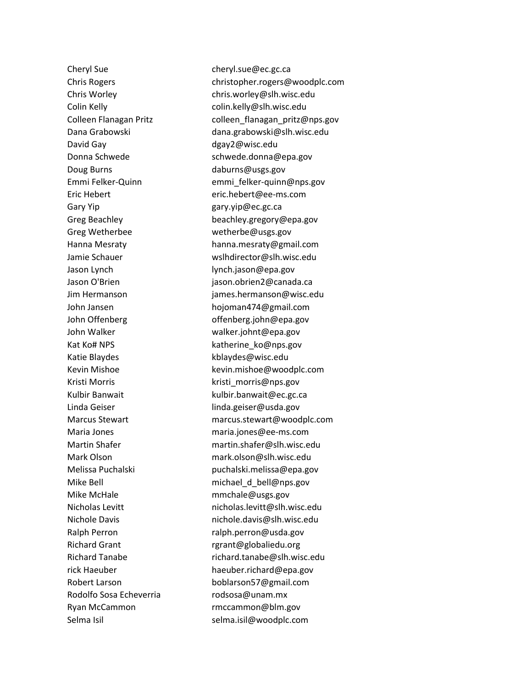Cheryl Sue cheryl.sue@ec.gc.ca David Gay dgay2@wisc.edu Doug Burns daburns@usgs.gov Gary Yip **Gary** Yip **gary.yip** @ec.gc.ca Greg Wetherbee wetherbe@usgs.gov Jason Lynch lynch.jason@epa.gov John Walker walker.johnt@epa.gov Katie Blaydes **Katie Blaydes** kblaydes@wisc.edu Kristi Morris **Kristi** morris@nps.gov Linda Geiser **linda.geiser@usda.gov** Mike McHale **mmchale@usgs.gov** Richard Grant **rgrant@globaliedu.org** Rodolfo Sosa Echeverria rodsosa@unam.mx Ryan McCammon rmccammon@blm.gov

Chris Rogers christopher.rogers@woodplc.com Chris Worley chris.worley@slh.wisc.edu Colin Kelly colin.kelly@slh.wisc.edu Colleen Flanagan Pritz colleen\_flanagan\_pritz@nps.gov Dana Grabowski dana.grabowski@slh.wisc.edu Donna Schwede schwede.donna@epa.gov Emmi Felker-Quinn emmi\_felker-quinn@nps.gov Eric Hebert eric.hebert@ee-ms.com Greg Beachley **beachley.gregory@epa.gov** Hanna Mesraty hanna.mesraty@gmail.com Jamie Schauer wslhdirector@slh.wisc.edu Jason O'Brien jason.obrien2@canada.ca Jim Hermanson james.hermanson@wisc.edu John Jansen hojoman474@gmail.com John Offenberg offenberg.john@epa.gov Kat Ko# NPS katherine ko@nps.gov Kevin Mishoe kevin.mishoe@woodplc.com Kulbir Banwait **Kulbir.banwait@ec.gc.ca** Marcus Stewart marcus.stewart@woodplc.com Maria Jones maria.jones@ee-ms.com Martin Shafer martin.shafer@slh.wisc.edu Mark Olson mark.olson@slh.wisc.edu Melissa Puchalski puchalski.melissa@epa.gov Mike Bell michael\_d\_bell@nps.gov Nicholas Levitt nicholas.levitt@slh.wisc.edu Nichole Davis nichole.davis@slh.wisc.edu Ralph Perron ralph.perron@usda.gov Richard Tanabe richard.tanabe@slh.wisc.edu rick Haeuber haeuber.richard@epa.gov Robert Larson boblarson57@gmail.com Selma Isil selma.isil@woodplc.com